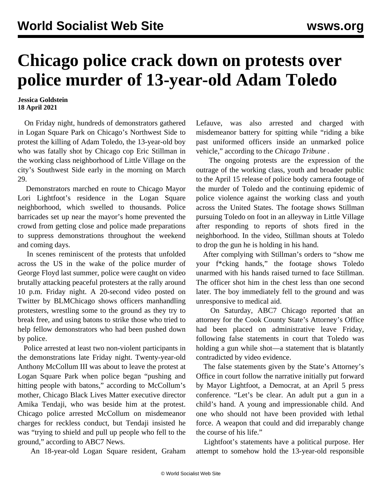## **Chicago police crack down on protests over police murder of 13-year-old Adam Toledo**

## **Jessica Goldstein 18 April 2021**

 On Friday night, hundreds of demonstrators gathered in Logan Square Park on Chicago's Northwest Side to protest the killing of Adam Toledo, the 13-year-old boy who was fatally shot by Chicago cop Eric Stillman in the working class neighborhood of Little Village on the city's Southwest Side early in the morning on March 29.

 Demonstrators marched en route to Chicago Mayor Lori Lightfoot's residence in the Logan Square neighborhood, which swelled to thousands. Police barricades set up near the mayor's home prevented the crowd from getting close and police made preparations to suppress demonstrations throughout the weekend and coming days.

 In scenes reminiscent of the protests that unfolded across the US in the wake of the police murder of George Floyd last summer, police were caught on video brutally attacking peaceful protesters at the rally around 10 p.m. Friday night. A 20-second [video](https://twitter.com/blmchi/status/1383253281393106946?s=21) posted on Twitter by BLMChicago shows officers manhandling protesters, wrestling some to the ground as they try to break free, and using batons to strike those who tried to help fellow demonstrators who had been pushed down by police.

 Police arrested at least two non-violent participants in the demonstrations late Friday night. Twenty-year-old Anthony McCollum III was about to leave the protest at Logan Square Park when police began "pushing and hitting people with batons," according to McCollum's mother, Chicago Black Lives Matter executive director Amika Tendaji, who was beside him at the protest. Chicago police arrested McCollum on misdemeanor charges for reckless conduct, but Tendaji insisted he was "trying to shield and pull up people who fell to the ground," according to ABC7 News.

An 18-year-old Logan Square resident, Graham

Lefauve, was also arrested and charged with misdemeanor battery for spitting while "riding a bike past uniformed officers inside an unmarked police vehicle," according to the *Chicago Tribune* .

 The ongoing protests are the expression of the outrage of the working class, youth and broader public to the April 15 release of police body camera footage of the murder of Toledo and the continuing epidemic of police violence against the working class and youth across the United States. The footage shows Stillman pursuing Toledo on foot in an alleyway in Little Village after responding to reports of shots fired in the neighborhood. In the video, Stillman shouts at Toledo to drop the gun he is holding in his hand.

 After complying with Stillman's orders to "show me your f\*cking hands," the footage shows Toledo unarmed with his hands raised turned to face Stillman. The officer shot him in the chest less than one second later. The boy immediately fell to the ground and was unresponsive to medical aid.

 On Saturday, ABC7 Chicago reported that an attorney for the Cook County State's Attorney's Office had been placed on administrative leave Friday, following false statements in court that Toledo was holding a gun while shot—a statement that is blatantly contradicted by video evidence.

 The false statements given by the State's Attorney's Office in court follow the narrative initially put forward by Mayor Lightfoot, a Democrat, at an April 5 press conference. "Let's be clear. An adult put a gun in a child's hand. A young and impressionable child. And one who should not have been provided with lethal force. A weapon that could and did irreparably change the course of his life."

 Lightfoot's statements have a political purpose. Her attempt to somehow hold the 13-year-old responsible